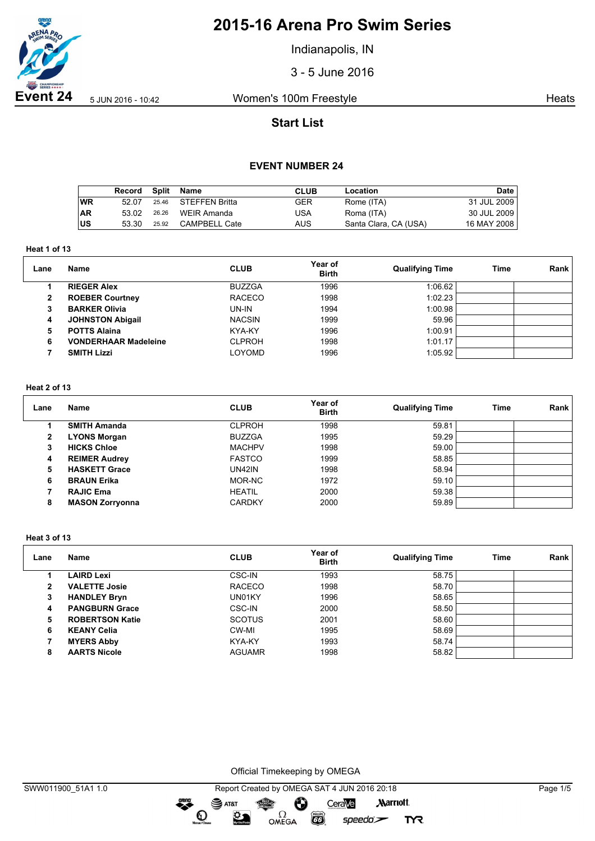

Indianapolis, IN

3 - 5 June 2016

**Event 24** 5 JUN 2016 - 10:42 Women's 100m Freestyle **Heats** Heats

# **Start List**

## **EVENT NUMBER 24**

|           | Record | Split | Name                 | <b>CLUB</b> | Location              | Date        |
|-----------|--------|-------|----------------------|-------------|-----------------------|-------------|
| ∣wR       | 52.07  | 25.46 | STEFFEN Britta       | GER         | Rome (ITA)            | 31 JUL 2009 |
| <b>AR</b> | 53.02  | 26.26 | WEIR Amanda          | USA         | Roma (ITA)            | 30 JUL 2009 |
| ∣us       | 53.30  | 25.92 | <b>CAMPBELL Cate</b> | AUS         | Santa Clara, CA (USA) | 16 MAY 2008 |

**Heat 1 of 13**

| Lane | <b>Name</b>                 | <b>CLUB</b>   | Year of<br><b>Birth</b> | <b>Qualifying Time</b> | Time | Rank |
|------|-----------------------------|---------------|-------------------------|------------------------|------|------|
|      | <b>RIEGER Alex</b>          | <b>BUZZGA</b> | 1996                    | 1:06.62                |      |      |
| 2    | <b>ROEBER Courtney</b>      | <b>RACECO</b> | 1998                    | 1:02.23                |      |      |
| 3    | <b>BARKER Olivia</b>        | UN-IN         | 1994                    | 1:00.98                |      |      |
| 4    | <b>JOHNSTON Abigail</b>     | <b>NACSIN</b> | 1999                    | 59.96                  |      |      |
| 5    | <b>POTTS Alaina</b>         | KYA-KY        | 1996                    | 1:00.91                |      |      |
| 6    | <b>VONDERHAAR Madeleine</b> | <b>CLPROH</b> | 1998                    | 1:01.17                |      |      |
|      | <b>SMITH Lizzi</b>          | LOYOMD        | 1996                    | 1:05.92                |      |      |

### **Heat 2 of 13**

| Lane | <b>Name</b>            | <b>CLUB</b>   | Year of<br><b>Birth</b> | <b>Qualifying Time</b> | Time | Rank |
|------|------------------------|---------------|-------------------------|------------------------|------|------|
|      | <b>SMITH Amanda</b>    | <b>CLPROH</b> | 1998                    | 59.81                  |      |      |
| 2    | <b>LYONS Morgan</b>    | <b>BUZZGA</b> | 1995                    | 59.29                  |      |      |
| 3    | <b>HICKS Chloe</b>     | <b>MACHPV</b> | 1998                    | 59.00                  |      |      |
| 4    | <b>REIMER Audrey</b>   | <b>FASTCO</b> | 1999                    | 58.85                  |      |      |
| 5    | <b>HASKETT Grace</b>   | <b>UN42IN</b> | 1998                    | 58.94                  |      |      |
| 6    | <b>BRAUN Erika</b>     | MOR-NC        | 1972                    | 59.10                  |      |      |
|      | <b>RAJIC Ema</b>       | <b>HEATIL</b> | 2000                    | 59.38                  |      |      |
| 8    | <b>MASON Zorryonna</b> | <b>CARDKY</b> | 2000                    | 59.89                  |      |      |

#### **Heat 3 of 13**

| Lane | Name                   | <b>CLUB</b>   | Year of<br><b>Birth</b> | <b>Qualifying Time</b> | Time | Rank |
|------|------------------------|---------------|-------------------------|------------------------|------|------|
|      | <b>LAIRD Lexi</b>      | CSC-IN        | 1993                    | 58.75                  |      |      |
| 2    | <b>VALETTE Josie</b>   | <b>RACECO</b> | 1998                    | 58.70                  |      |      |
| 3    | <b>HANDLEY Bryn</b>    | UN01KY        | 1996                    | 58.65                  |      |      |
| 4    | <b>PANGBURN Grace</b>  | CSC-IN        | 2000                    | 58.50                  |      |      |
| 5    | <b>ROBERTSON Katie</b> | <b>SCOTUS</b> | 2001                    | 58.60                  |      |      |
| 6    | <b>KEANY Celia</b>     | CW-MI         | 1995                    | 58.69                  |      |      |
|      | <b>MYERS Abby</b>      | KYA-KY        | 1993                    | 58.74                  |      |      |
| 8    | <b>AARTS Nicole</b>    | <b>AGUAMR</b> | 1998                    | 58.82                  |      |      |

Official Timekeeping by OMEGA

**CO** 

 $speedo$ 

**TYR** 

OMEGA

 $\bullet$ 

 $\mathbf{O}$ 

 $\mathfrak{D}$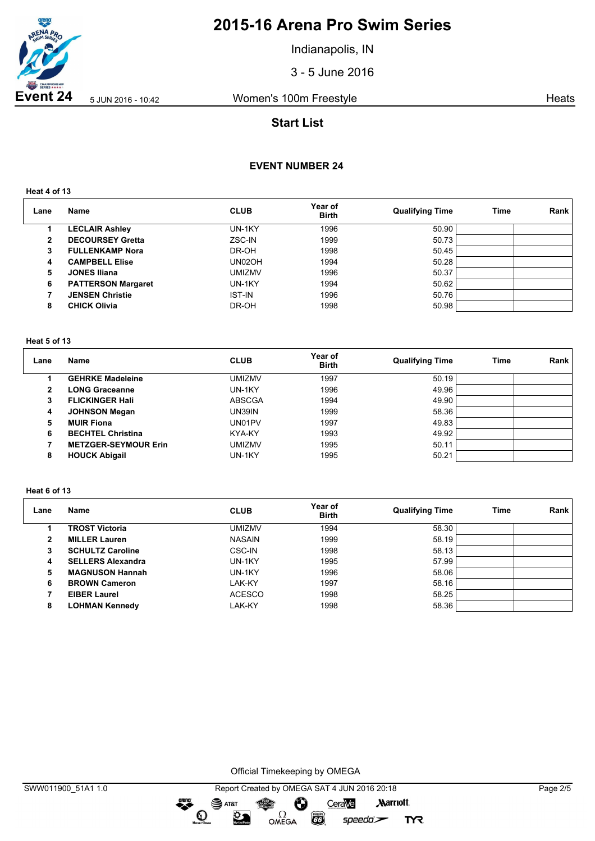

Indianapolis, IN

3 - 5 June 2016

**Event 24** 5 JUN 2016 - 10:42 Women's 100m Freestyle **Heats** Heats

# **Start List**

## **EVENT NUMBER 24**

**Heat 4 of 13**

| Lane | <b>Name</b>               | <b>CLUB</b>   | Year of<br><b>Birth</b> | <b>Qualifying Time</b> | Time | Rank |
|------|---------------------------|---------------|-------------------------|------------------------|------|------|
|      | <b>LECLAIR Ashley</b>     | UN-1KY        | 1996                    | 50.90                  |      |      |
| 2    | <b>DECOURSEY Gretta</b>   | ZSC-IN        | 1999                    | 50.73                  |      |      |
| 3    | <b>FULLENKAMP Nora</b>    | DR-OH         | 1998                    | 50.45                  |      |      |
| 4    | <b>CAMPBELL Elise</b>     | UN02OH        | 1994                    | 50.28                  |      |      |
| 5    | <b>JONES Iliana</b>       | <b>UMIZMV</b> | 1996                    | 50.37                  |      |      |
| 6    | <b>PATTERSON Margaret</b> | UN-1KY        | 1994                    | 50.62                  |      |      |
|      | <b>JENSEN Christie</b>    | <b>IST-IN</b> | 1996                    | 50.76                  |      |      |
| 8    | <b>CHICK Olivia</b>       | DR-OH         | 1998                    | 50.98                  |      |      |

#### **Heat 5 of 13**

| Lane | Name                        | <b>CLUB</b>   | Year of<br><b>Birth</b> | <b>Qualifying Time</b> | Time | Rank |
|------|-----------------------------|---------------|-------------------------|------------------------|------|------|
|      | <b>GEHRKE Madeleine</b>     | umizmv        | 1997                    | 50.19                  |      |      |
| 2    | <b>LONG Graceanne</b>       | UN-1KY        | 1996                    | 49.96                  |      |      |
| 3    | <b>FLICKINGER Hall</b>      | <b>ABSCGA</b> | 1994                    | 49.90                  |      |      |
| 4    | <b>JOHNSON Megan</b>        | UN39IN        | 1999                    | 58.36                  |      |      |
| 5    | <b>MUIR Fiona</b>           | UN01PV        | 1997                    | 49.83                  |      |      |
| 6    | <b>BECHTEL Christina</b>    | KYA-KY        | 1993                    | 49.92                  |      |      |
|      | <b>METZGER-SEYMOUR Erin</b> | umizmv        | 1995                    | 50.11                  |      |      |
| 8    | <b>HOUCK Abigail</b>        | UN-1KY        | 1995                    | 50.21                  |      |      |

### **Heat 6 of 13**

| Lane         | <b>Name</b>              | <b>CLUB</b>   | Year of<br><b>Birth</b> | <b>Qualifying Time</b> | <b>Time</b> | Rank |
|--------------|--------------------------|---------------|-------------------------|------------------------|-------------|------|
|              | <b>TROST Victoria</b>    | <b>UMIZMV</b> | 1994                    | 58.30                  |             |      |
| $\mathbf{2}$ | <b>MILLER Lauren</b>     | <b>NASAIN</b> | 1999                    | 58.19                  |             |      |
| 3            | <b>SCHULTZ Caroline</b>  | CSC-IN        | 1998                    | 58.13                  |             |      |
| 4            | <b>SELLERS Alexandra</b> | UN-1KY        | 1995                    | 57.99                  |             |      |
| 5            | <b>MAGNUSON Hannah</b>   | UN-1KY        | 1996                    | 58.06                  |             |      |
| 6            | <b>BROWN Cameron</b>     | LAK-KY        | 1997                    | 58.16                  |             |      |
|              | <b>EIBER Laurel</b>      | <b>ACESCO</b> | 1998                    | 58.25                  |             |      |
| 8            | <b>LOHMAN Kennedy</b>    | LAK-KY        | 1998                    | 58.36                  |             |      |

Official Timekeeping by OMEGA

 $\bullet$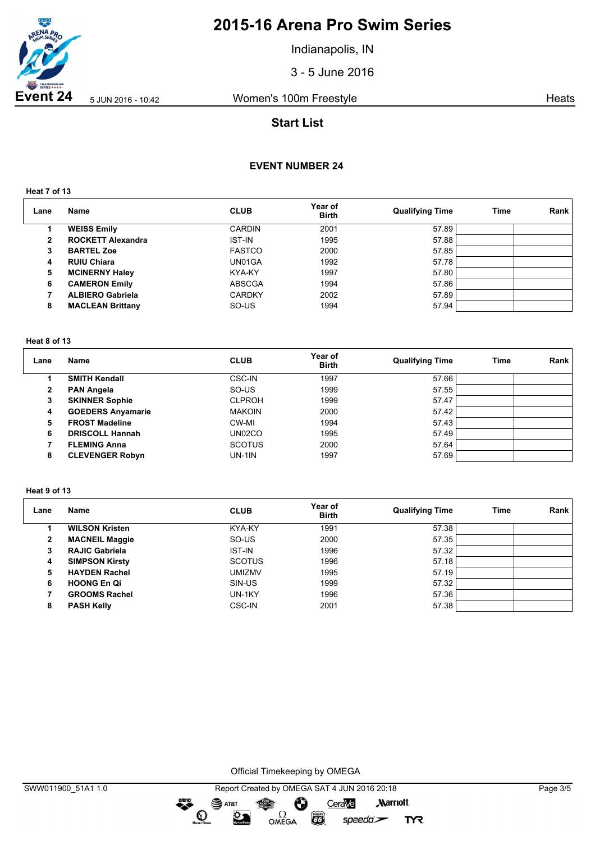

Indianapolis, IN

3 - 5 June 2016

**Event 24** 5 JUN 2016 - 10:42 Women's 100m Freestyle **Heats** Heats

# **Start List**

## **EVENT NUMBER 24**

**Heat 7 of 13**

| Lane | <b>Name</b>              | <b>CLUB</b>   | Year of<br><b>Birth</b> | <b>Qualifying Time</b> | Time | Rank |
|------|--------------------------|---------------|-------------------------|------------------------|------|------|
|      | <b>WEISS Emily</b>       | <b>CARDIN</b> | 2001                    | 57.89                  |      |      |
| 2    | <b>ROCKETT Alexandra</b> | <b>IST-IN</b> | 1995                    | 57.88                  |      |      |
| 3    | <b>BARTEL Zoe</b>        | <b>FASTCO</b> | 2000                    | 57.85                  |      |      |
| 4    | <b>RUIU Chiara</b>       | UN01GA        | 1992                    | 57.78                  |      |      |
| 5    | <b>MCINERNY Haley</b>    | KYA-KY        | 1997                    | 57.80                  |      |      |
| 6    | <b>CAMERON Emily</b>     | <b>ABSCGA</b> | 1994                    | 57.86                  |      |      |
|      | <b>ALBIERO Gabriela</b>  | <b>CARDKY</b> | 2002                    | 57.89                  |      |      |
| 8    | <b>MACLEAN Brittany</b>  | SO-US         | 1994                    | 57.94                  |      |      |

#### **Heat 8 of 13**

| Lane | Name                     | <b>CLUB</b>   | Year of<br><b>Birth</b> | <b>Qualifying Time</b> | Time | Rank |
|------|--------------------------|---------------|-------------------------|------------------------|------|------|
|      | <b>SMITH Kendall</b>     | CSC-IN        | 1997                    | 57.66                  |      |      |
| 2    | <b>PAN Angela</b>        | SO-US         | 1999                    | 57.55                  |      |      |
| 3    | <b>SKINNER Sophie</b>    | <b>CLPROH</b> | 1999                    | 57.47                  |      |      |
| 4    | <b>GOEDERS Anyamarie</b> | <b>MAKOIN</b> | 2000                    | 57.42                  |      |      |
| 5    | <b>FROST Madeline</b>    | CW-MI         | 1994                    | 57.43                  |      |      |
| 6    | <b>DRISCOLL Hannah</b>   | UN02CO        | 1995                    | 57.49                  |      |      |
|      | <b>FLEMING Anna</b>      | <b>SCOTUS</b> | 2000                    | 57.64                  |      |      |
| 8    | <b>CLEVENGER Robyn</b>   | <b>UN-1IN</b> | 1997                    | 57.69                  |      |      |

### **Heat 9 of 13**

| Lane | Name                  | <b>CLUB</b>   | Year of<br><b>Birth</b> | <b>Qualifying Time</b> | Time | Rank |
|------|-----------------------|---------------|-------------------------|------------------------|------|------|
|      | <b>WILSON Kristen</b> | KYA-KY        | 1991                    | 57.38                  |      |      |
| 2    | <b>MACNEIL Maggie</b> | SO-US         | 2000                    | 57.35                  |      |      |
| з    | <b>RAJIC Gabriela</b> | <b>IST-IN</b> | 1996                    | 57.32                  |      |      |
| 4    | <b>SIMPSON Kirsty</b> | <b>SCOTUS</b> | 1996                    | 57.18                  |      |      |
| 5    | <b>HAYDEN Rachel</b>  | <b>UMIZMV</b> | 1995                    | 57.19                  |      |      |
| 6    | <b>HOONG En Qi</b>    | SIN-US        | 1999                    | 57.32                  |      |      |
|      | <b>GROOMS Rachel</b>  | UN-1KY        | 1996                    | 57.36                  |      |      |
| 8    | <b>PASH Kelly</b>     | <b>CSC-IN</b> | 2001                    | 57.38                  |      |      |

Official Timekeeping by OMEGA

 $\overbrace{\phantom{1}}^{\text{mean}}$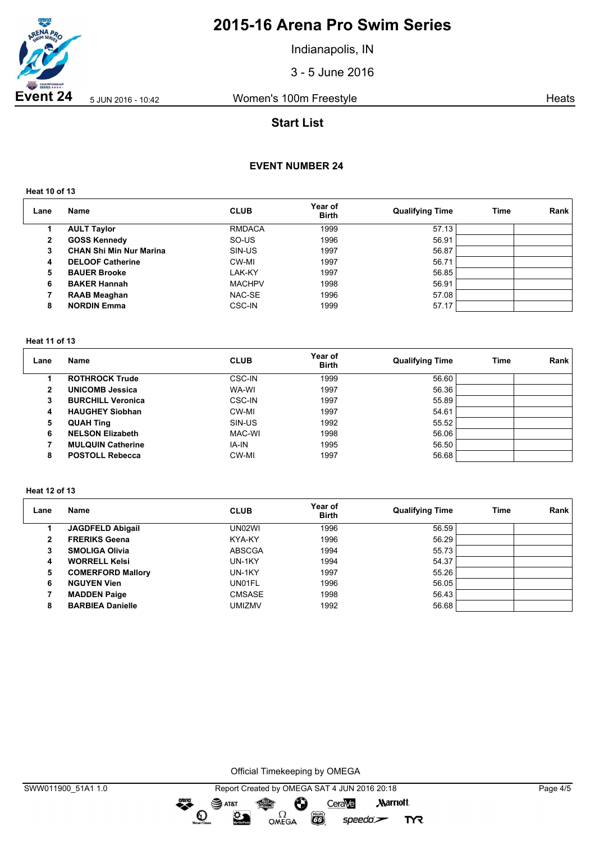

Indianapolis, IN

3 - 5 June 2016

**Event 24** 5 JUN 2016 - 10:42 Women's 100m Freestyle **Heats** Heats

# **Start List**

## **EVENT NUMBER 24**

**Heat 10 of 13**

| Lane | Name                           | <b>CLUB</b>   | Year of<br><b>Birth</b> | <b>Qualifying Time</b> | <b>Time</b> | Rank |
|------|--------------------------------|---------------|-------------------------|------------------------|-------------|------|
|      | <b>AULT Taylor</b>             | <b>RMDACA</b> | 1999                    | 57.13                  |             |      |
| 2    | <b>GOSS Kennedy</b>            | SO-US         | 1996                    | 56.91                  |             |      |
| 3    | <b>CHAN Shi Min Nur Marina</b> | SIN-US        | 1997                    | 56.87                  |             |      |
| 4    | <b>DELOOF Catherine</b>        | CW-MI         | 1997                    | 56.71                  |             |      |
| 5    | <b>BAUER Brooke</b>            | LAK-KY        | 1997                    | 56.85                  |             |      |
| 6    | <b>BAKER Hannah</b>            | <b>MACHPV</b> | 1998                    | 56.91                  |             |      |
|      | <b>RAAB Meaghan</b>            | NAC-SE        | 1996                    | 57.08                  |             |      |
| 8    | <b>NORDIN Emma</b>             | <b>CSC-IN</b> | 1999                    | 57.17                  |             |      |

#### **Heat 11 of 13**

| Lane | Name                     | <b>CLUB</b>   | Year of<br><b>Birth</b> | <b>Qualifying Time</b> | Time | Rank |
|------|--------------------------|---------------|-------------------------|------------------------|------|------|
|      | <b>ROTHROCK Trude</b>    | CSC-IN        | 1999                    | 56.60                  |      |      |
| 2    | <b>UNICOMB Jessica</b>   | WA-WI         | 1997                    | 56.36                  |      |      |
| 3    | <b>BURCHILL Veronica</b> | <b>CSC-IN</b> | 1997                    | 55.89                  |      |      |
| 4    | <b>HAUGHEY Siobhan</b>   | CW-MI         | 1997                    | 54.61                  |      |      |
| 5    | <b>QUAH Ting</b>         | SIN-US        | 1992                    | 55.52                  |      |      |
| 6    | <b>NELSON Elizabeth</b>  | MAC-WI        | 1998                    | 56.06                  |      |      |
|      | <b>MULQUIN Catherine</b> | IA-IN         | 1995                    | 56.50                  |      |      |
| 8    | <b>POSTOLL Rebecca</b>   | CW-MI         | 1997                    | 56.68                  |      |      |

#### **Heat 12 of 13**

| Lane | Name                     | <b>CLUB</b>   | Year of<br><b>Birth</b> | <b>Qualifying Time</b> | Time | <b>Rank</b> |
|------|--------------------------|---------------|-------------------------|------------------------|------|-------------|
|      | <b>JAGDFELD Abigail</b>  | UN02WI        | 1996                    | 56.59                  |      |             |
| 2    | <b>FRERIKS Geena</b>     | KYA-KY        | 1996                    | 56.29                  |      |             |
| 3    | <b>SMOLIGA Olivia</b>    | <b>ABSCGA</b> | 1994                    | 55.73                  |      |             |
| 4    | <b>WORRELL Kelsi</b>     | UN-1KY        | 1994                    | 54.37                  |      |             |
| 5    | <b>COMERFORD Mallory</b> | UN-1KY        | 1997                    | 55.26                  |      |             |
| 6    | <b>NGUYEN Vien</b>       | UN01FL        | 1996                    | 56.05                  |      |             |
|      | <b>MADDEN Paige</b>      | <b>CMSASE</b> | 1998                    | 56.43                  |      |             |
| 8    | <b>BARBIEA Danielle</b>  | <b>UMIZMV</b> | 1992                    | 56.68                  |      |             |

Official Timekeeping by OMEGA

 $\overbrace{\phantom{1}}^{\text{mean}}$ 

SWW011900\_51A1 1.0 Report Created by OMEGA SAT 4 JUN 2016 20:18 Page 4/5  $\mathbf{S}$  AT&T Ô CeraVe **Marriott** OMEGA  $\odot$  $\sum_{n=1}^{\infty}$ **EGS** speedo`<del>∠</del> **TYR**